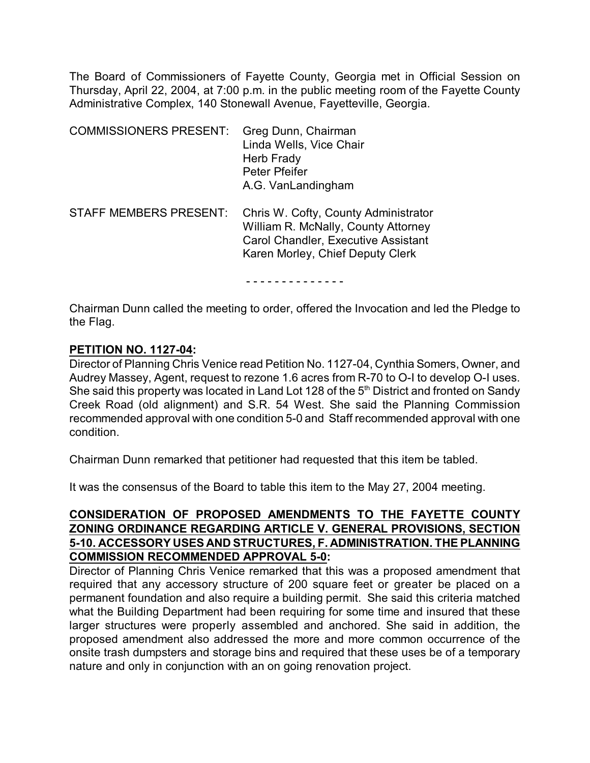The Board of Commissioners of Fayette County, Georgia met in Official Session on Thursday, April 22, 2004, at 7:00 p.m. in the public meeting room of the Fayette County Administrative Complex, 140 Stonewall Avenue, Fayetteville, Georgia.

| <b>COMMISSIONERS PRESENT:</b> | Greg Dunn, Chairman<br>Linda Wells, Vice Chair<br>Herb Frady<br>Peter Pfeifer<br>A.G. VanLandingham                                                           |
|-------------------------------|---------------------------------------------------------------------------------------------------------------------------------------------------------------|
| <b>STAFF MEMBERS PRESENT:</b> | Chris W. Cofty, County Administrator<br>William R. McNally, County Attorney<br><b>Carol Chandler, Executive Assistant</b><br>Karen Morley, Chief Deputy Clerk |

- - - - - - - - - - - - - -

Chairman Dunn called the meeting to order, offered the Invocation and led the Pledge to the Flag.

#### **PETITION NO. 1127-04:**

Director of Planning Chris Venice read Petition No. 1127-04, Cynthia Somers, Owner, and Audrey Massey, Agent, request to rezone 1.6 acres from R-70 to O-I to develop O-I uses. She said this property was located in Land Lot 128 of the  $5<sup>th</sup>$  District and fronted on Sandy Creek Road (old alignment) and S.R. 54 West. She said the Planning Commission recommended approval with one condition 5-0 and Staff recommended approval with one condition.

Chairman Dunn remarked that petitioner had requested that this item be tabled.

It was the consensus of the Board to table this item to the May 27, 2004 meeting.

## **CONSIDERATION OF PROPOSED AMENDMENTS TO THE FAYETTE COUNTY ZONING ORDINANCE REGARDING ARTICLE V. GENERAL PROVISIONS, SECTION 5-10. ACCESSORY USES AND STRUCTURES, F. ADMINISTRATION. THE PLANNING COMMISSION RECOMMENDED APPROVAL 5-0:**

Director of Planning Chris Venice remarked that this was a proposed amendment that required that any accessory structure of 200 square feet or greater be placed on a permanent foundation and also require a building permit. She said this criteria matched what the Building Department had been requiring for some time and insured that these larger structures were properly assembled and anchored. She said in addition, the proposed amendment also addressed the more and more common occurrence of the onsite trash dumpsters and storage bins and required that these uses be of a temporary nature and only in conjunction with an on going renovation project.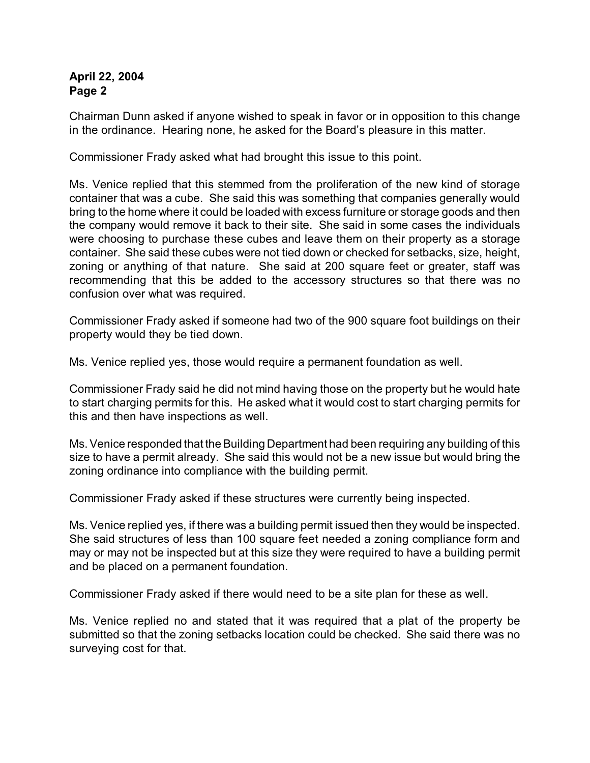Chairman Dunn asked if anyone wished to speak in favor or in opposition to this change in the ordinance. Hearing none, he asked for the Board's pleasure in this matter.

Commissioner Frady asked what had brought this issue to this point.

Ms. Venice replied that this stemmed from the proliferation of the new kind of storage container that was a cube. She said this was something that companies generally would bring to the home where it could be loaded with excess furniture or storage goods and then the company would remove it back to their site. She said in some cases the individuals were choosing to purchase these cubes and leave them on their property as a storage container. She said these cubes were not tied down or checked for setbacks, size, height, zoning or anything of that nature. She said at 200 square feet or greater, staff was recommending that this be added to the accessory structures so that there was no confusion over what was required.

Commissioner Frady asked if someone had two of the 900 square foot buildings on their property would they be tied down.

Ms. Venice replied yes, those would require a permanent foundation as well.

Commissioner Frady said he did not mind having those on the property but he would hate to start charging permits for this. He asked what it would cost to start charging permits for this and then have inspections as well.

Ms. Venice responded that the Building Department had been requiring any building of this size to have a permit already. She said this would not be a new issue but would bring the zoning ordinance into compliance with the building permit.

Commissioner Frady asked if these structures were currently being inspected.

Ms. Venice replied yes, if there was a building permit issued then they would be inspected. She said structures of less than 100 square feet needed a zoning compliance form and may or may not be inspected but at this size they were required to have a building permit and be placed on a permanent foundation.

Commissioner Frady asked if there would need to be a site plan for these as well.

Ms. Venice replied no and stated that it was required that a plat of the property be submitted so that the zoning setbacks location could be checked. She said there was no surveying cost for that.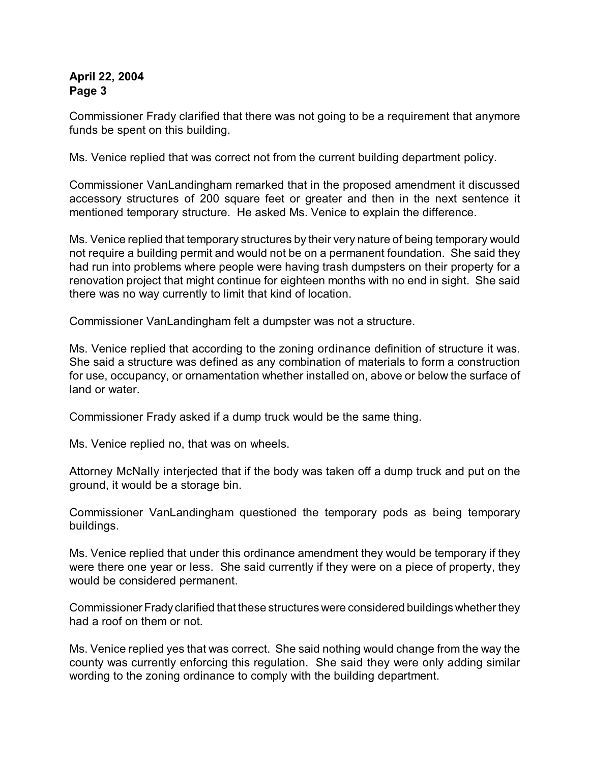Commissioner Frady clarified that there was not going to be a requirement that anymore funds be spent on this building.

Ms. Venice replied that was correct not from the current building department policy.

Commissioner VanLandingham remarked that in the proposed amendment it discussed accessory structures of 200 square feet or greater and then in the next sentence it mentioned temporary structure. He asked Ms. Venice to explain the difference.

Ms. Venice replied that temporary structures by their very nature of being temporary would not require a building permit and would not be on a permanent foundation. She said they had run into problems where people were having trash dumpsters on their property for a renovation project that might continue for eighteen months with no end in sight. She said there was no way currently to limit that kind of location.

Commissioner VanLandingham felt a dumpster was not a structure.

Ms. Venice replied that according to the zoning ordinance definition of structure it was. She said a structure was defined as any combination of materials to form a construction for use, occupancy, or ornamentation whether installed on, above or below the surface of land or water.

Commissioner Frady asked if a dump truck would be the same thing.

Ms. Venice replied no, that was on wheels.

Attorney McNally interjected that if the body was taken off a dump truck and put on the ground, it would be a storage bin.

Commissioner VanLandingham questioned the temporary pods as being temporary buildings.

Ms. Venice replied that under this ordinance amendment they would be temporary if they were there one year or less. She said currently if they were on a piece of property, they would be considered permanent.

Commissioner Frady clarified that these structures were considered buildings whether they had a roof on them or not.

Ms. Venice replied yes that was correct. She said nothing would change from the way the county was currently enforcing this regulation. She said they were only adding similar wording to the zoning ordinance to comply with the building department.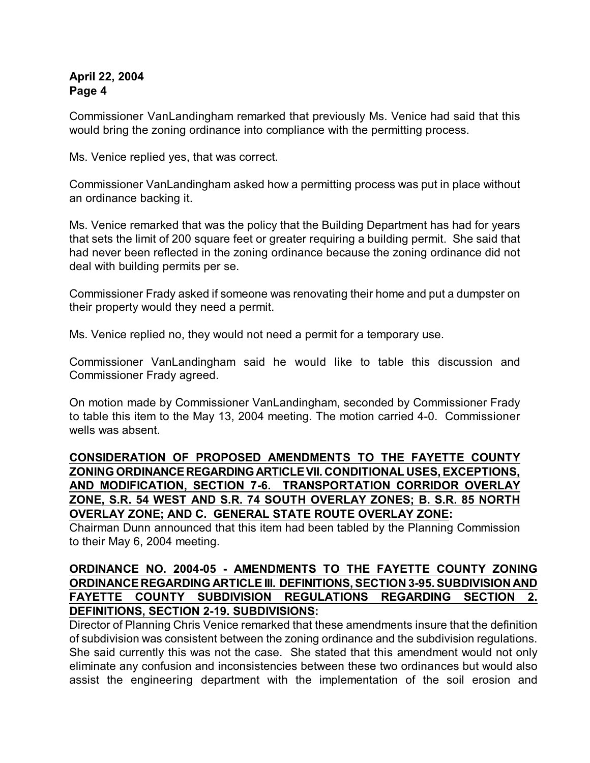Commissioner VanLandingham remarked that previously Ms. Venice had said that this would bring the zoning ordinance into compliance with the permitting process.

Ms. Venice replied yes, that was correct.

Commissioner VanLandingham asked how a permitting process was put in place without an ordinance backing it.

Ms. Venice remarked that was the policy that the Building Department has had for years that sets the limit of 200 square feet or greater requiring a building permit. She said that had never been reflected in the zoning ordinance because the zoning ordinance did not deal with building permits per se.

Commissioner Frady asked if someone was renovating their home and put a dumpster on their property would they need a permit.

Ms. Venice replied no, they would not need a permit for a temporary use.

Commissioner VanLandingham said he would like to table this discussion and Commissioner Frady agreed.

On motion made by Commissioner VanLandingham, seconded by Commissioner Frady to table this item to the May 13, 2004 meeting. The motion carried 4-0. Commissioner wells was absent.

# **CONSIDERATION OF PROPOSED AMENDMENTS TO THE FAYETTE COUNTY ZONING ORDINANCE REGARDING ARTICLE VII. CONDITIONAL USES, EXCEPTIONS, AND MODIFICATION, SECTION 7-6. TRANSPORTATION CORRIDOR OVERLAY ZONE, S.R. 54 WEST AND S.R. 74 SOUTH OVERLAY ZONES; B. S.R. 85 NORTH OVERLAY ZONE; AND C. GENERAL STATE ROUTE OVERLAY ZONE:**

Chairman Dunn announced that this item had been tabled by the Planning Commission to their May 6, 2004 meeting.

# **ORDINANCE NO. 2004-05 - AMENDMENTS TO THE FAYETTE COUNTY ZONING ORDINANCE REGARDING ARTICLE III. DEFINITIONS, SECTION 3-95. SUBDIVISION AND FAYETTE COUNTY SUBDIVISION REGULATIONS REGARDING SECTION 2. DEFINITIONS, SECTION 2-19. SUBDIVISIONS:**

Director of Planning Chris Venice remarked that these amendments insure that the definition of subdivision was consistent between the zoning ordinance and the subdivision regulations. She said currently this was not the case. She stated that this amendment would not only eliminate any confusion and inconsistencies between these two ordinances but would also assist the engineering department with the implementation of the soil erosion and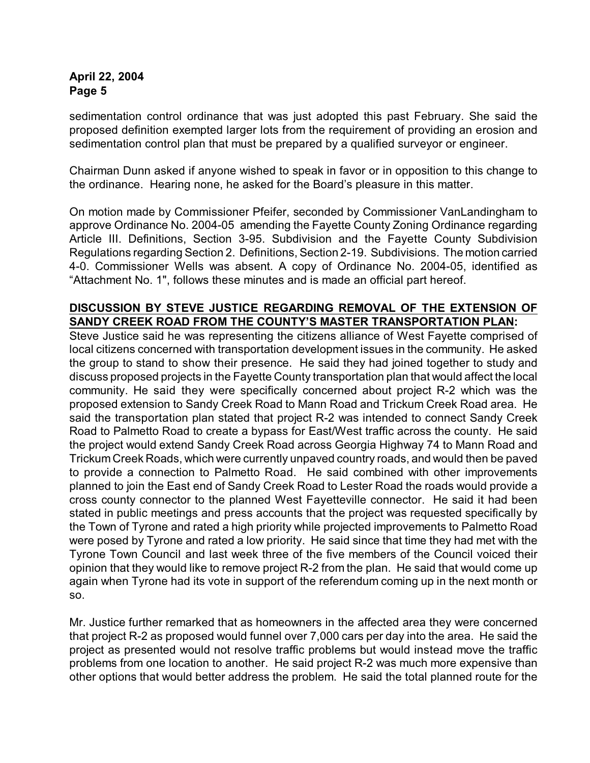sedimentation control ordinance that was just adopted this past February. She said the proposed definition exempted larger lots from the requirement of providing an erosion and sedimentation control plan that must be prepared by a qualified surveyor or engineer.

Chairman Dunn asked if anyone wished to speak in favor or in opposition to this change to the ordinance. Hearing none, he asked for the Board's pleasure in this matter.

On motion made by Commissioner Pfeifer, seconded by Commissioner VanLandingham to approve Ordinance No. 2004-05 amending the Fayette County Zoning Ordinance regarding Article III. Definitions, Section 3-95. Subdivision and the Fayette County Subdivision Regulations regarding Section 2. Definitions, Section 2-19. Subdivisions. The motion carried 4-0. Commissioner Wells was absent. A copy of Ordinance No. 2004-05, identified as "Attachment No. 1", follows these minutes and is made an official part hereof.

#### **DISCUSSION BY STEVE JUSTICE REGARDING REMOVAL OF THE EXTENSION OF SANDY CREEK ROAD FROM THE COUNTY'S MASTER TRANSPORTATION PLAN:**

Steve Justice said he was representing the citizens alliance of West Fayette comprised of local citizens concerned with transportation development issues in the community. He asked the group to stand to show their presence. He said they had joined together to study and discuss proposed projects in the Fayette County transportation plan that would affect the local community. He said they were specifically concerned about project R-2 which was the proposed extension to Sandy Creek Road to Mann Road and Trickum Creek Road area. He said the transportation plan stated that project R-2 was intended to connect Sandy Creek Road to Palmetto Road to create a bypass for East/West traffic across the county. He said the project would extend Sandy Creek Road across Georgia Highway 74 to Mann Road and Trickum Creek Roads, which were currently unpaved country roads, and would then be paved to provide a connection to Palmetto Road. He said combined with other improvements planned to join the East end of Sandy Creek Road to Lester Road the roads would provide a cross county connector to the planned West Fayetteville connector. He said it had been stated in public meetings and press accounts that the project was requested specifically by the Town of Tyrone and rated a high priority while projected improvements to Palmetto Road were posed by Tyrone and rated a low priority. He said since that time they had met with the Tyrone Town Council and last week three of the five members of the Council voiced their opinion that they would like to remove project R-2 from the plan. He said that would come up again when Tyrone had its vote in support of the referendum coming up in the next month or so.

Mr. Justice further remarked that as homeowners in the affected area they were concerned that project R-2 as proposed would funnel over 7,000 cars per day into the area. He said the project as presented would not resolve traffic problems but would instead move the traffic problems from one location to another. He said project R-2 was much more expensive than other options that would better address the problem. He said the total planned route for the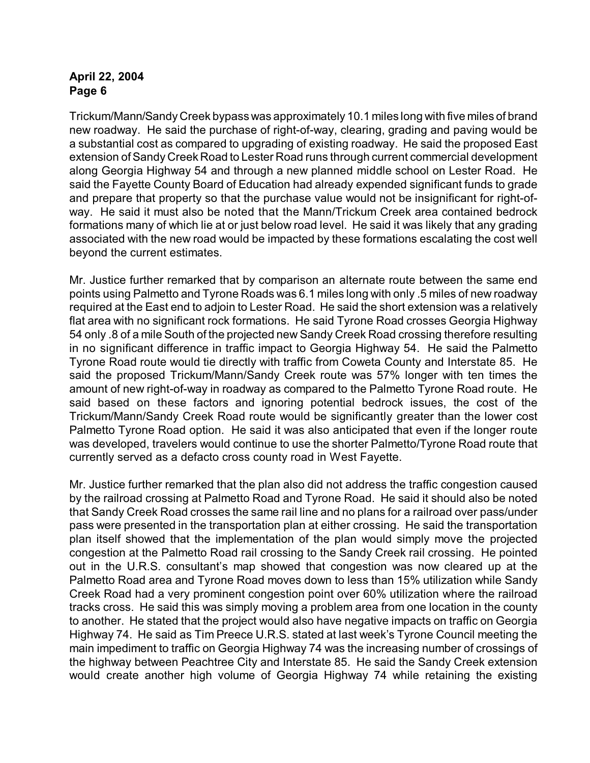Trickum/Mann/Sandy Creek bypass was approximately 10.1 miles long with five miles of brand new roadway. He said the purchase of right-of-way, clearing, grading and paving would be a substantial cost as compared to upgrading of existing roadway. He said the proposed East extension of Sandy Creek Road to Lester Road runs through current commercial development along Georgia Highway 54 and through a new planned middle school on Lester Road. He said the Fayette County Board of Education had already expended significant funds to grade and prepare that property so that the purchase value would not be insignificant for right-ofway. He said it must also be noted that the Mann/Trickum Creek area contained bedrock formations many of which lie at or just below road level. He said it was likely that any grading associated with the new road would be impacted by these formations escalating the cost well beyond the current estimates.

Mr. Justice further remarked that by comparison an alternate route between the same end points using Palmetto and Tyrone Roads was 6.1 miles long with only .5 miles of new roadway required at the East end to adjoin to Lester Road. He said the short extension was a relatively flat area with no significant rock formations. He said Tyrone Road crosses Georgia Highway 54 only .8 of a mile South of the projected new Sandy Creek Road crossing therefore resulting in no significant difference in traffic impact to Georgia Highway 54. He said the Palmetto Tyrone Road route would tie directly with traffic from Coweta County and Interstate 85. He said the proposed Trickum/Mann/Sandy Creek route was 57% longer with ten times the amount of new right-of-way in roadway as compared to the Palmetto Tyrone Road route. He said based on these factors and ignoring potential bedrock issues, the cost of the Trickum/Mann/Sandy Creek Road route would be significantly greater than the lower cost Palmetto Tyrone Road option. He said it was also anticipated that even if the longer route was developed, travelers would continue to use the shorter Palmetto/Tyrone Road route that currently served as a defacto cross county road in West Fayette.

Mr. Justice further remarked that the plan also did not address the traffic congestion caused by the railroad crossing at Palmetto Road and Tyrone Road. He said it should also be noted that Sandy Creek Road crosses the same rail line and no plans for a railroad over pass/under pass were presented in the transportation plan at either crossing. He said the transportation plan itself showed that the implementation of the plan would simply move the projected congestion at the Palmetto Road rail crossing to the Sandy Creek rail crossing. He pointed out in the U.R.S. consultant's map showed that congestion was now cleared up at the Palmetto Road area and Tyrone Road moves down to less than 15% utilization while Sandy Creek Road had a very prominent congestion point over 60% utilization where the railroad tracks cross. He said this was simply moving a problem area from one location in the county to another. He stated that the project would also have negative impacts on traffic on Georgia Highway 74. He said as Tim Preece U.R.S. stated at last week's Tyrone Council meeting the main impediment to traffic on Georgia Highway 74 was the increasing number of crossings of the highway between Peachtree City and Interstate 85. He said the Sandy Creek extension would create another high volume of Georgia Highway 74 while retaining the existing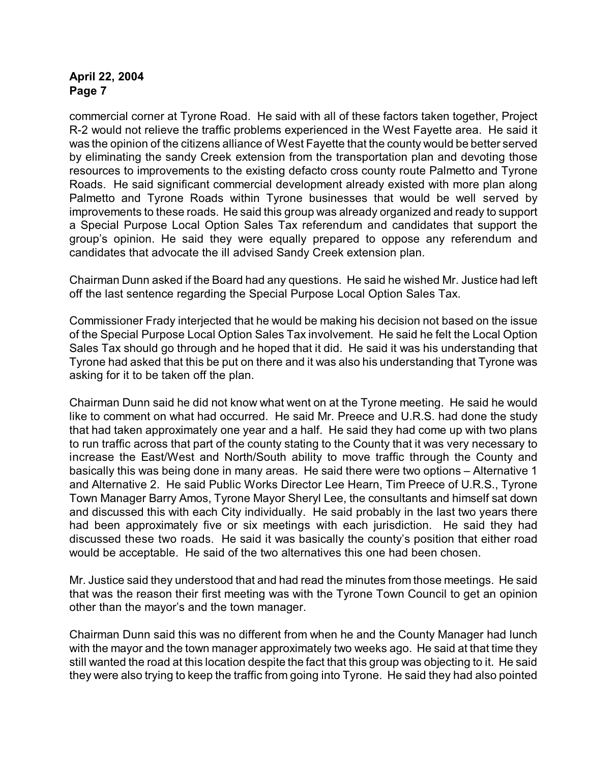commercial corner at Tyrone Road. He said with all of these factors taken together, Project R-2 would not relieve the traffic problems experienced in the West Fayette area. He said it was the opinion of the citizens alliance of West Fayette that the county would be better served by eliminating the sandy Creek extension from the transportation plan and devoting those resources to improvements to the existing defacto cross county route Palmetto and Tyrone Roads. He said significant commercial development already existed with more plan along Palmetto and Tyrone Roads within Tyrone businesses that would be well served by improvements to these roads. He said this group was already organized and ready to support a Special Purpose Local Option Sales Tax referendum and candidates that support the group's opinion. He said they were equally prepared to oppose any referendum and candidates that advocate the ill advised Sandy Creek extension plan.

Chairman Dunn asked if the Board had any questions. He said he wished Mr. Justice had left off the last sentence regarding the Special Purpose Local Option Sales Tax.

Commissioner Frady interjected that he would be making his decision not based on the issue of the Special Purpose Local Option Sales Tax involvement. He said he felt the Local Option Sales Tax should go through and he hoped that it did. He said it was his understanding that Tyrone had asked that this be put on there and it was also his understanding that Tyrone was asking for it to be taken off the plan.

Chairman Dunn said he did not know what went on at the Tyrone meeting. He said he would like to comment on what had occurred. He said Mr. Preece and U.R.S. had done the study that had taken approximately one year and a half. He said they had come up with two plans to run traffic across that part of the county stating to the County that it was very necessary to increase the East/West and North/South ability to move traffic through the County and basically this was being done in many areas. He said there were two options – Alternative 1 and Alternative 2. He said Public Works Director Lee Hearn, Tim Preece of U.R.S., Tyrone Town Manager Barry Amos, Tyrone Mayor Sheryl Lee, the consultants and himself sat down and discussed this with each City individually. He said probably in the last two years there had been approximately five or six meetings with each jurisdiction. He said they had discussed these two roads. He said it was basically the county's position that either road would be acceptable. He said of the two alternatives this one had been chosen.

Mr. Justice said they understood that and had read the minutes from those meetings. He said that was the reason their first meeting was with the Tyrone Town Council to get an opinion other than the mayor's and the town manager.

Chairman Dunn said this was no different from when he and the County Manager had lunch with the mayor and the town manager approximately two weeks ago. He said at that time they still wanted the road at this location despite the fact that this group was objecting to it. He said they were also trying to keep the traffic from going into Tyrone. He said they had also pointed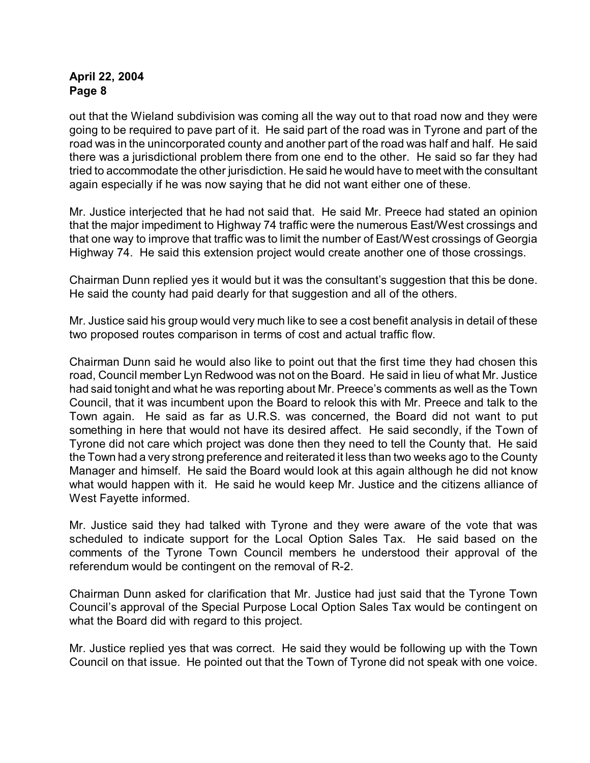out that the Wieland subdivision was coming all the way out to that road now and they were going to be required to pave part of it. He said part of the road was in Tyrone and part of the road was in the unincorporated county and another part of the road was half and half. He said there was a jurisdictional problem there from one end to the other. He said so far they had tried to accommodate the other jurisdiction. He said he would have to meet with the consultant again especially if he was now saying that he did not want either one of these.

Mr. Justice interjected that he had not said that. He said Mr. Preece had stated an opinion that the major impediment to Highway 74 traffic were the numerous East/West crossings and that one way to improve that traffic was to limit the number of East/West crossings of Georgia Highway 74. He said this extension project would create another one of those crossings.

Chairman Dunn replied yes it would but it was the consultant's suggestion that this be done. He said the county had paid dearly for that suggestion and all of the others.

Mr. Justice said his group would very much like to see a cost benefit analysis in detail of these two proposed routes comparison in terms of cost and actual traffic flow.

Chairman Dunn said he would also like to point out that the first time they had chosen this road, Council member Lyn Redwood was not on the Board. He said in lieu of what Mr. Justice had said tonight and what he was reporting about Mr. Preece's comments as well as the Town Council, that it was incumbent upon the Board to relook this with Mr. Preece and talk to the Town again. He said as far as U.R.S. was concerned, the Board did not want to put something in here that would not have its desired affect. He said secondly, if the Town of Tyrone did not care which project was done then they need to tell the County that. He said the Town had a very strong preference and reiterated it less than two weeks ago to the County Manager and himself. He said the Board would look at this again although he did not know what would happen with it. He said he would keep Mr. Justice and the citizens alliance of West Fayette informed.

Mr. Justice said they had talked with Tyrone and they were aware of the vote that was scheduled to indicate support for the Local Option Sales Tax. He said based on the comments of the Tyrone Town Council members he understood their approval of the referendum would be contingent on the removal of R-2.

Chairman Dunn asked for clarification that Mr. Justice had just said that the Tyrone Town Council's approval of the Special Purpose Local Option Sales Tax would be contingent on what the Board did with regard to this project.

Mr. Justice replied yes that was correct. He said they would be following up with the Town Council on that issue. He pointed out that the Town of Tyrone did not speak with one voice.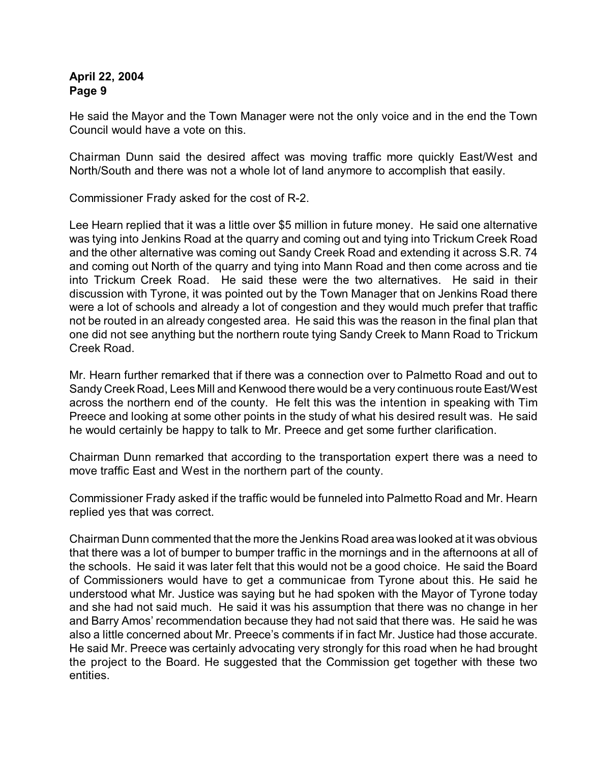He said the Mayor and the Town Manager were not the only voice and in the end the Town Council would have a vote on this.

Chairman Dunn said the desired affect was moving traffic more quickly East/West and North/South and there was not a whole lot of land anymore to accomplish that easily.

Commissioner Frady asked for the cost of R-2.

Lee Hearn replied that it was a little over \$5 million in future money. He said one alternative was tying into Jenkins Road at the quarry and coming out and tying into Trickum Creek Road and the other alternative was coming out Sandy Creek Road and extending it across S.R. 74 and coming out North of the quarry and tying into Mann Road and then come across and tie into Trickum Creek Road. He said these were the two alternatives. He said in their discussion with Tyrone, it was pointed out by the Town Manager that on Jenkins Road there were a lot of schools and already a lot of congestion and they would much prefer that traffic not be routed in an already congested area. He said this was the reason in the final plan that one did not see anything but the northern route tying Sandy Creek to Mann Road to Trickum Creek Road.

Mr. Hearn further remarked that if there was a connection over to Palmetto Road and out to Sandy Creek Road, Lees Mill and Kenwood there would be a very continuous route East/West across the northern end of the county. He felt this was the intention in speaking with Tim Preece and looking at some other points in the study of what his desired result was. He said he would certainly be happy to talk to Mr. Preece and get some further clarification.

Chairman Dunn remarked that according to the transportation expert there was a need to move traffic East and West in the northern part of the county.

Commissioner Frady asked if the traffic would be funneled into Palmetto Road and Mr. Hearn replied yes that was correct.

Chairman Dunn commented that the more the Jenkins Road area was looked at it was obvious that there was a lot of bumper to bumper traffic in the mornings and in the afternoons at all of the schools. He said it was later felt that this would not be a good choice. He said the Board of Commissioners would have to get a communicae from Tyrone about this. He said he understood what Mr. Justice was saying but he had spoken with the Mayor of Tyrone today and she had not said much. He said it was his assumption that there was no change in her and Barry Amos' recommendation because they had not said that there was. He said he was also a little concerned about Mr. Preece's comments if in fact Mr. Justice had those accurate. He said Mr. Preece was certainly advocating very strongly for this road when he had brought the project to the Board. He suggested that the Commission get together with these two entities.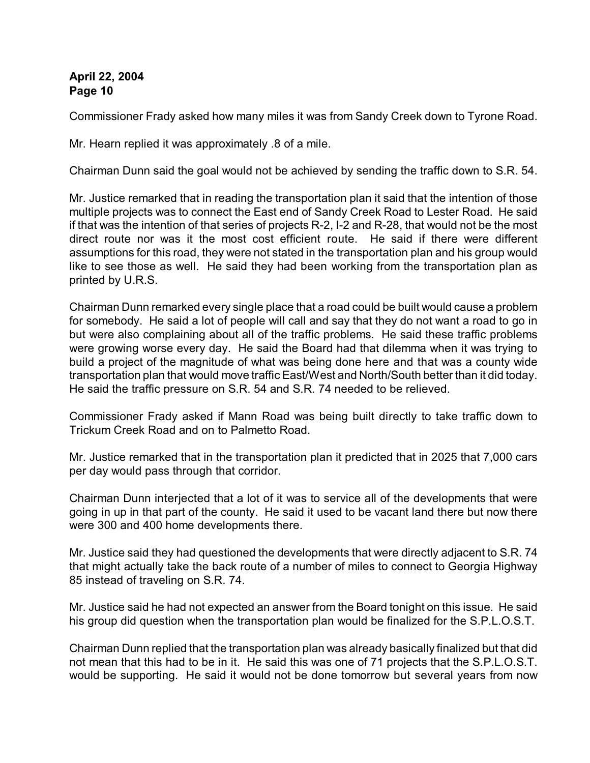Commissioner Frady asked how many miles it was from Sandy Creek down to Tyrone Road.

Mr. Hearn replied it was approximately .8 of a mile.

Chairman Dunn said the goal would not be achieved by sending the traffic down to S.R. 54.

Mr. Justice remarked that in reading the transportation plan it said that the intention of those multiple projects was to connect the East end of Sandy Creek Road to Lester Road. He said if that was the intention of that series of projects R-2, I-2 and R-28, that would not be the most direct route nor was it the most cost efficient route. He said if there were different assumptions for this road, they were not stated in the transportation plan and his group would like to see those as well. He said they had been working from the transportation plan as printed by U.R.S.

Chairman Dunn remarked every single place that a road could be built would cause a problem for somebody. He said a lot of people will call and say that they do not want a road to go in but were also complaining about all of the traffic problems. He said these traffic problems were growing worse every day. He said the Board had that dilemma when it was trying to build a project of the magnitude of what was being done here and that was a county wide transportation plan that would move traffic East/West and North/South better than it did today. He said the traffic pressure on S.R. 54 and S.R. 74 needed to be relieved.

Commissioner Frady asked if Mann Road was being built directly to take traffic down to Trickum Creek Road and on to Palmetto Road.

Mr. Justice remarked that in the transportation plan it predicted that in 2025 that 7,000 cars per day would pass through that corridor.

Chairman Dunn interjected that a lot of it was to service all of the developments that were going in up in that part of the county. He said it used to be vacant land there but now there were 300 and 400 home developments there.

Mr. Justice said they had questioned the developments that were directly adjacent to S.R. 74 that might actually take the back route of a number of miles to connect to Georgia Highway 85 instead of traveling on S.R. 74.

Mr. Justice said he had not expected an answer from the Board tonight on this issue. He said his group did question when the transportation plan would be finalized for the S.P.L.O.S.T.

Chairman Dunn replied that the transportation plan was already basically finalized but that did not mean that this had to be in it. He said this was one of 71 projects that the S.P.L.O.S.T. would be supporting. He said it would not be done tomorrow but several years from now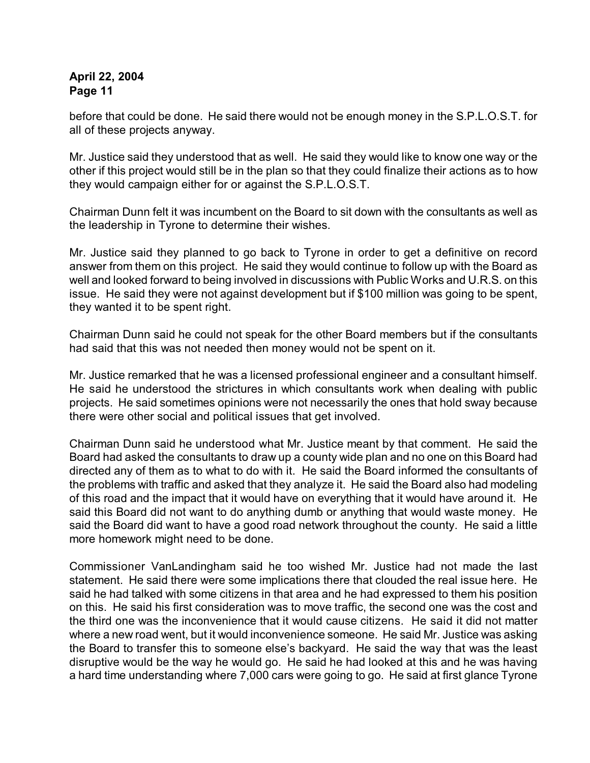before that could be done. He said there would not be enough money in the S.P.L.O.S.T. for all of these projects anyway.

Mr. Justice said they understood that as well. He said they would like to know one way or the other if this project would still be in the plan so that they could finalize their actions as to how they would campaign either for or against the S.P.L.O.S.T.

Chairman Dunn felt it was incumbent on the Board to sit down with the consultants as well as the leadership in Tyrone to determine their wishes.

Mr. Justice said they planned to go back to Tyrone in order to get a definitive on record answer from them on this project. He said they would continue to follow up with the Board as well and looked forward to being involved in discussions with Public Works and U.R.S. on this issue. He said they were not against development but if \$100 million was going to be spent, they wanted it to be spent right.

Chairman Dunn said he could not speak for the other Board members but if the consultants had said that this was not needed then money would not be spent on it.

Mr. Justice remarked that he was a licensed professional engineer and a consultant himself. He said he understood the strictures in which consultants work when dealing with public projects. He said sometimes opinions were not necessarily the ones that hold sway because there were other social and political issues that get involved.

Chairman Dunn said he understood what Mr. Justice meant by that comment. He said the Board had asked the consultants to draw up a county wide plan and no one on this Board had directed any of them as to what to do with it. He said the Board informed the consultants of the problems with traffic and asked that they analyze it. He said the Board also had modeling of this road and the impact that it would have on everything that it would have around it. He said this Board did not want to do anything dumb or anything that would waste money. He said the Board did want to have a good road network throughout the county. He said a little more homework might need to be done.

Commissioner VanLandingham said he too wished Mr. Justice had not made the last statement. He said there were some implications there that clouded the real issue here. He said he had talked with some citizens in that area and he had expressed to them his position on this. He said his first consideration was to move traffic, the second one was the cost and the third one was the inconvenience that it would cause citizens. He said it did not matter where a new road went, but it would inconvenience someone. He said Mr. Justice was asking the Board to transfer this to someone else's backyard. He said the way that was the least disruptive would be the way he would go. He said he had looked at this and he was having a hard time understanding where 7,000 cars were going to go. He said at first glance Tyrone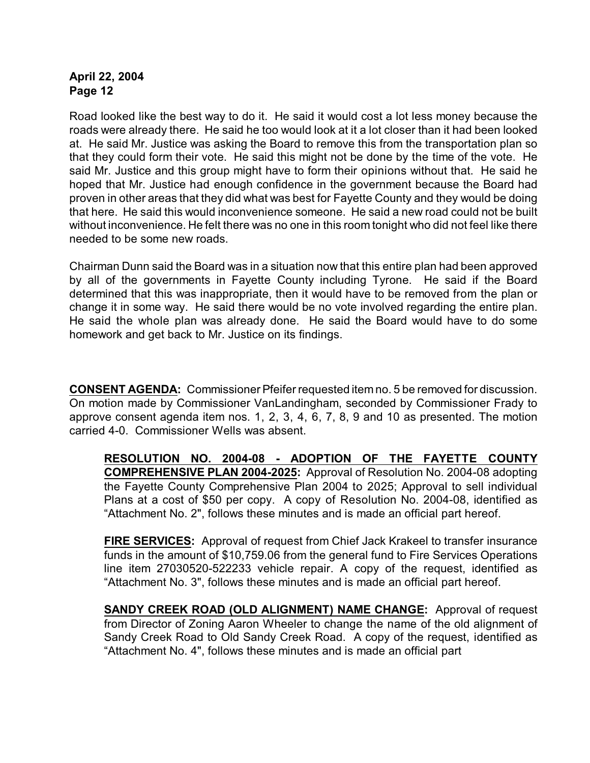Road looked like the best way to do it. He said it would cost a lot less money because the roads were already there. He said he too would look at it a lot closer than it had been looked at. He said Mr. Justice was asking the Board to remove this from the transportation plan so that they could form their vote. He said this might not be done by the time of the vote. He said Mr. Justice and this group might have to form their opinions without that. He said he hoped that Mr. Justice had enough confidence in the government because the Board had proven in other areas that they did what was best for Fayette County and they would be doing that here. He said this would inconvenience someone. He said a new road could not be built without inconvenience. He felt there was no one in this room tonight who did not feel like there needed to be some new roads.

Chairman Dunn said the Board was in a situation now that this entire plan had been approved by all of the governments in Fayette County including Tyrone. He said if the Board determined that this was inappropriate, then it would have to be removed from the plan or change it in some way. He said there would be no vote involved regarding the entire plan. He said the whole plan was already done. He said the Board would have to do some homework and get back to Mr. Justice on its findings.

**CONSENT AGENDA:** Commissioner Pfeifer requested item no. 5 be removed for discussion. On motion made by Commissioner VanLandingham, seconded by Commissioner Frady to approve consent agenda item nos. 1, 2, 3, 4, 6, 7, 8, 9 and 10 as presented. The motion carried 4-0. Commissioner Wells was absent.

**RESOLUTION NO. 2004-08 - ADOPTION OF THE FAYETTE COUNTY COMPREHENSIVE PLAN 2004-2025:** Approval of Resolution No. 2004-08 adopting the Fayette County Comprehensive Plan 2004 to 2025; Approval to sell individual Plans at a cost of \$50 per copy. A copy of Resolution No. 2004-08, identified as "Attachment No. 2", follows these minutes and is made an official part hereof.

**FIRE SERVICES:** Approval of request from Chief Jack Krakeel to transfer insurance funds in the amount of \$10,759.06 from the general fund to Fire Services Operations line item 27030520-522233 vehicle repair. A copy of the request, identified as "Attachment No. 3", follows these minutes and is made an official part hereof.

**SANDY CREEK ROAD (OLD ALIGNMENT) NAME CHANGE:** Approval of request from Director of Zoning Aaron Wheeler to change the name of the old alignment of Sandy Creek Road to Old Sandy Creek Road. A copy of the request, identified as "Attachment No. 4", follows these minutes and is made an official part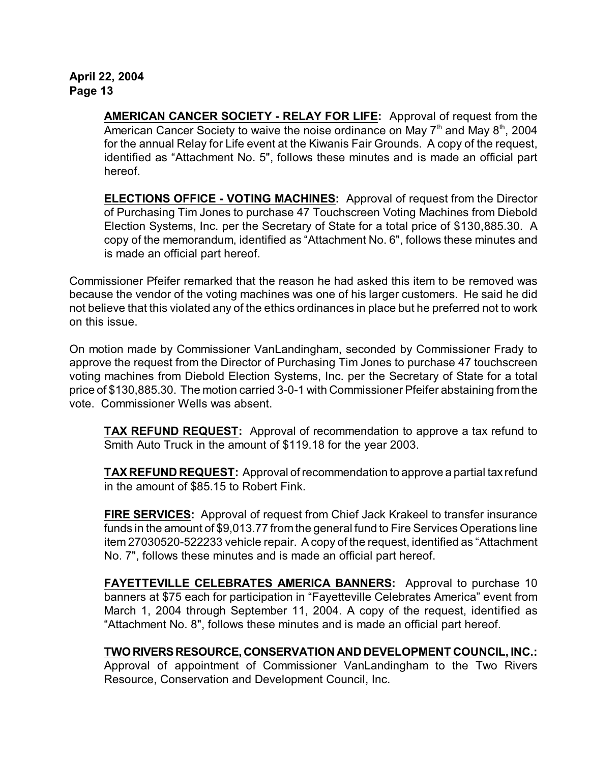> **AMERICAN CANCER SOCIETY - RELAY FOR LIFE:** Approval of request from the American Cancer Society to waive the noise ordinance on May  $7<sup>th</sup>$  and May  $8<sup>th</sup>$ , 2004 for the annual Relay for Life event at the Kiwanis Fair Grounds. A copy of the request, identified as "Attachment No. 5", follows these minutes and is made an official part hereof.

> **ELECTIONS OFFICE - VOTING MACHINES:** Approval of request from the Director of Purchasing Tim Jones to purchase 47 Touchscreen Voting Machines from Diebold Election Systems, Inc. per the Secretary of State for a total price of \$130,885.30. A copy of the memorandum, identified as "Attachment No. 6", follows these minutes and is made an official part hereof.

Commissioner Pfeifer remarked that the reason he had asked this item to be removed was because the vendor of the voting machines was one of his larger customers. He said he did not believe that this violated any of the ethics ordinances in place but he preferred not to work on this issue.

On motion made by Commissioner VanLandingham, seconded by Commissioner Frady to approve the request from the Director of Purchasing Tim Jones to purchase 47 touchscreen voting machines from Diebold Election Systems, Inc. per the Secretary of State for a total price of \$130,885.30. The motion carried 3-0-1 with Commissioner Pfeifer abstaining from the vote. Commissioner Wells was absent.

**TAX REFUND REQUEST:** Approval of recommendation to approve a tax refund to Smith Auto Truck in the amount of \$119.18 for the year 2003.

**TAX REFUND REQUEST:** Approval of recommendation to approve a partial tax refund in the amount of \$85.15 to Robert Fink.

**FIRE SERVICES:** Approval of request from Chief Jack Krakeel to transfer insurance funds in the amount of \$9,013.77 from the general fund to Fire Services Operations line item 27030520-522233 vehicle repair. A copy of the request, identified as "Attachment No. 7", follows these minutes and is made an official part hereof.

**FAYETTEVILLE CELEBRATES AMERICA BANNERS:** Approval to purchase 10 banners at \$75 each for participation in "Fayetteville Celebrates America" event from March 1, 2004 through September 11, 2004. A copy of the request, identified as "Attachment No. 8", follows these minutes and is made an official part hereof.

**TWO RIVERS RESOURCE, CONSERVATION AND DEVELOPMENT COUNCIL, INC.:** Approval of appointment of Commissioner VanLandingham to the Two Rivers Resource, Conservation and Development Council, Inc.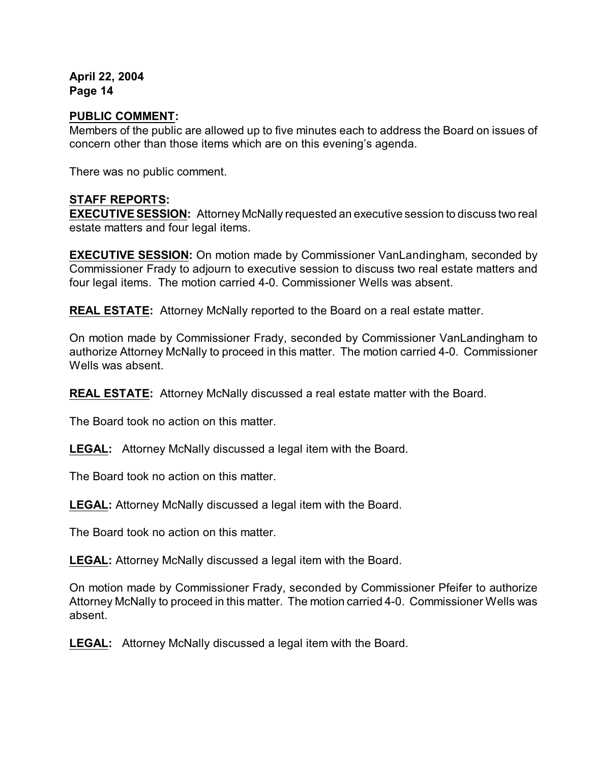#### **PUBLIC COMMENT:**

Members of the public are allowed up to five minutes each to address the Board on issues of concern other than those items which are on this evening's agenda.

There was no public comment.

#### **STAFF REPORTS:**

**EXECUTIVE SESSION:** Attorney McNally requested an executive session to discuss two real estate matters and four legal items.

**EXECUTIVE SESSION:** On motion made by Commissioner VanLandingham, seconded by Commissioner Frady to adjourn to executive session to discuss two real estate matters and four legal items. The motion carried 4-0. Commissioner Wells was absent.

**REAL ESTATE:** Attorney McNally reported to the Board on a real estate matter.

On motion made by Commissioner Frady, seconded by Commissioner VanLandingham to authorize Attorney McNally to proceed in this matter. The motion carried 4-0. Commissioner Wells was absent.

**REAL ESTATE:** Attorney McNally discussed a real estate matter with the Board.

The Board took no action on this matter.

**LEGAL:** Attorney McNally discussed a legal item with the Board.

The Board took no action on this matter.

**LEGAL:** Attorney McNally discussed a legal item with the Board.

The Board took no action on this matter.

**LEGAL:** Attorney McNally discussed a legal item with the Board.

On motion made by Commissioner Frady, seconded by Commissioner Pfeifer to authorize Attorney McNally to proceed in this matter. The motion carried 4-0. Commissioner Wells was absent.

**LEGAL:** Attorney McNally discussed a legal item with the Board.